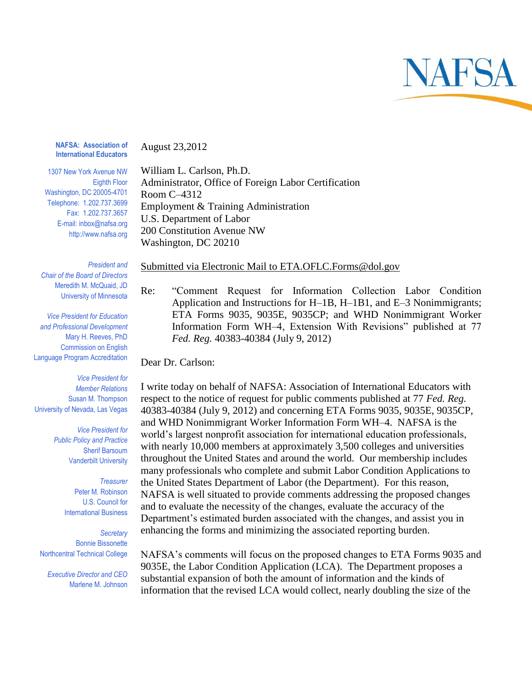

**NAFSA: Association of International Educators**

August 23,2012

1307 New York Avenue NW Eighth Floor Washington, DC 20005-4701 Telephone: 1.202.737.3699 Fax: 1.202.737.3657 E-mail: inbox@nafsa.org http://www.nafsa.org

William L. Carlson, Ph.D. Administrator, Office of Foreign Labor Certification Room C–4312 Employment & Training Administration U.S. Department of Labor 200 Constitution Avenue NW Washington, DC 20210

*President and Chair of the Board of Directors* Meredith M. McQuaid, JD University of Minnesota

*Vice President for Education and Professional Development* Mary H. Reeves, PhD Commission on English Language Program Accreditation

*Vice President for Member Relations* Susan M. Thompson University of Nevada, Las Vegas

> *Vice President for Public Policy and Practice* Sherif Barsoum Vanderbilt University

> > *Treasurer* Peter M. Robinson U.S. Council for International Business

*Secretary* Bonnie Bissonette Northcentral Technical College

*Executive Director and CEO* Marlene M. Johnson

## Submitted via Electronic Mail to ETA.OFLC.Forms@dol.gov

Re: "Comment Request for Information Collection Labor Condition Application and Instructions for H–1B, H–1B1, and E–3 Nonimmigrants; ETA Forms 9035, 9035E, 9035CP; and WHD Nonimmigrant Worker Information Form WH–4, Extension With Revisions" published at 77 *Fed. Reg.* 40383-40384 (July 9, 2012)

Dear Dr. Carlson:

I write today on behalf of NAFSA: Association of International Educators with respect to the notice of request for public comments published at 77 *Fed. Reg.*  40383-40384 (July 9, 2012) and concerning ETA Forms 9035, 9035E, 9035CP, and WHD Nonimmigrant Worker Information Form WH–4. NAFSA is the world's largest nonprofit association for international education professionals, with nearly 10,000 members at approximately 3,500 colleges and universities throughout the United States and around the world. Our membership includes many professionals who complete and submit Labor Condition Applications to the United States Department of Labor (the Department). For this reason, NAFSA is well situated to provide comments addressing the proposed changes and to evaluate the necessity of the changes, evaluate the accuracy of the Department's estimated burden associated with the changes, and assist you in enhancing the forms and minimizing the associated reporting burden.

NAFSA's comments will focus on the proposed changes to ETA Forms 9035 and 9035E, the Labor Condition Application (LCA). The Department proposes a substantial expansion of both the amount of information and the kinds of information that the revised LCA would collect, nearly doubling the size of the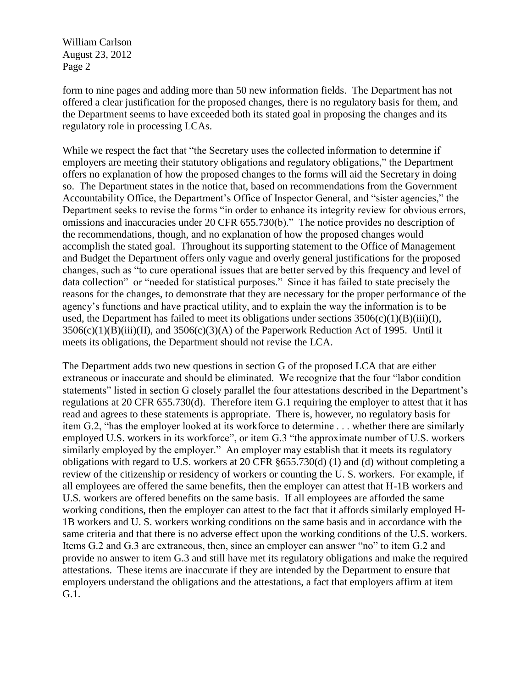William Carlson August 23, 2012 Page 2

form to nine pages and adding more than 50 new information fields. The Department has not offered a clear justification for the proposed changes, there is no regulatory basis for them, and the Department seems to have exceeded both its stated goal in proposing the changes and its regulatory role in processing LCAs.

While we respect the fact that "the Secretary uses the collected information to determine if employers are meeting their statutory obligations and regulatory obligations," the Department offers no explanation of how the proposed changes to the forms will aid the Secretary in doing so. The Department states in the notice that, based on recommendations from the Government Accountability Office, the Department's Office of Inspector General, and "sister agencies," the Department seeks to revise the forms "in order to enhance its integrity review for obvious errors, omissions and inaccuracies under 20 CFR 655.730(b)." The notice provides no description of the recommendations, though, and no explanation of how the proposed changes would accomplish the stated goal. Throughout its supporting statement to the Office of Management and Budget the Department offers only vague and overly general justifications for the proposed changes, such as "to cure operational issues that are better served by this frequency and level of data collection" or "needed for statistical purposes." Since it has failed to state precisely the reasons for the changes, to demonstrate that they are necessary for the proper performance of the agency's functions and have practical utility, and to explain the way the information is to be used, the Department has failed to meet its obligations under sections  $3506(c)(1)(B)(iii)(I)$ ,  $3506(c)(1)(B)(iii)(II)$ , and  $3506(c)(3)(A)$  of the Paperwork Reduction Act of 1995. Until it meets its obligations, the Department should not revise the LCA.

The Department adds two new questions in section G of the proposed LCA that are either extraneous or inaccurate and should be eliminated. We recognize that the four "labor condition statements" listed in section G closely parallel the four attestations described in the Department's regulations at 20 CFR 655.730(d). Therefore item G.1 requiring the employer to attest that it has read and agrees to these statements is appropriate. There is, however, no regulatory basis for item G.2, "has the employer looked at its workforce to determine . . . whether there are similarly employed U.S. workers in its workforce", or item G.3 "the approximate number of U.S. workers similarly employed by the employer." An employer may establish that it meets its regulatory obligations with regard to U.S. workers at 20 CFR §655.730(d) (1) and (d) without completing a review of the citizenship or residency of workers or counting the U. S. workers. For example, if all employees are offered the same benefits, then the employer can attest that H-1B workers and U.S. workers are offered benefits on the same basis. If all employees are afforded the same working conditions, then the employer can attest to the fact that it affords similarly employed H-1B workers and U. S. workers working conditions on the same basis and in accordance with the same criteria and that there is no adverse effect upon the working conditions of the U.S. workers. Items G.2 and G.3 are extraneous, then, since an employer can answer "no" to item G.2 and provide no answer to item G.3 and still have met its regulatory obligations and make the required attestations. These items are inaccurate if they are intended by the Department to ensure that employers understand the obligations and the attestations, a fact that employers affirm at item G.1.